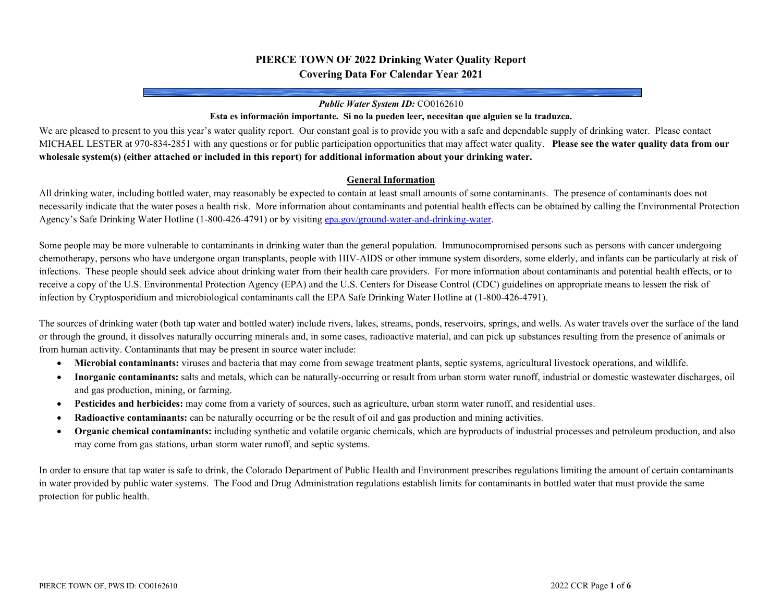# **PIERCE TOWN OF 2022 Drinking Water Quality Report Covering Data For Calendar Year 2021**

#### *Public Water System ID:* CO0162610

#### **Esta es información importante. Si no la pueden leer, necesitan que alguien se la traduzca.**

We are pleased to present to you this year's water quality report. Our constant goal is to provide you with a safe and dependable supply of drinking water. Please contact MICHAEL LESTER at 970-834-2851 with any questions or for public participation opportunities that may affect water quality. **Please see the water quality data from our wholesale system(s) (either attached or included in this report) for additional information about your drinking water.**

#### **General Information**

All drinking water, including bottled water, may reasonably be expected to contain at least small amounts of some contaminants. The presence of contaminants does not necessarily indicate that the water poses a health risk. More information about contaminants and potential health effects can be obtained by calling the Environmental Protection Agency's Safe Drinking Water Hotline (1-800-426-4791) or by visitin[g epa.gov/ground-water-and-drinking-water.](https://www.epa.gov/ground-water-and-drinking-water)

Some people may be more vulnerable to contaminants in drinking water than the general population. Immunocompromised persons such as persons with cancer undergoing chemotherapy, persons who have undergone organ transplants, people with HIV-AIDS or other immune system disorders, some elderly, and infants can be particularly at risk of infections. These people should seek advice about drinking water from their health care providers. For more information about contaminants and potential health effects, or to receive a copy of the U.S. Environmental Protection Agency (EPA) and the U.S. Centers for Disease Control (CDC) guidelines on appropriate means to lessen the risk of infection by Cryptosporidium and microbiological contaminants call the EPA Safe Drinking Water Hotline at (1-800-426-4791).

The sources of drinking water (both tap water and bottled water) include rivers, lakes, streams, ponds, reservoirs, springs, and wells. As water travels over the surface of the land or through the ground, it dissolves naturally occurring minerals and, in some cases, radioactive material, and can pick up substances resulting from the presence of animals or from human activity. Contaminants that may be present in source water include:

- **Microbial contaminants:** viruses and bacteria that may come from sewage treatment plants, septic systems, agricultural livestock operations, and wildlife.
- **Inorganic contaminants:** salts and metals, which can be naturally-occurring or result from urban storm water runoff, industrial or domestic wastewater discharges, oil and gas production, mining, or farming.
- **Pesticides and herbicides:** may come from a variety of sources, such as agriculture, urban storm water runoff, and residential uses.
- **Radioactive contaminants:** can be naturally occurring or be the result of oil and gas production and mining activities.
- **Organic chemical contaminants:** including synthetic and volatile organic chemicals, which are byproducts of industrial processes and petroleum production, and also may come from gas stations, urban storm water runoff, and septic systems.

In order to ensure that tap water is safe to drink, the Colorado Department of Public Health and Environment prescribes regulations limiting the amount of certain contaminants in water provided by public water systems. The Food and Drug Administration regulations establish limits for contaminants in bottled water that must provide the same protection for public health.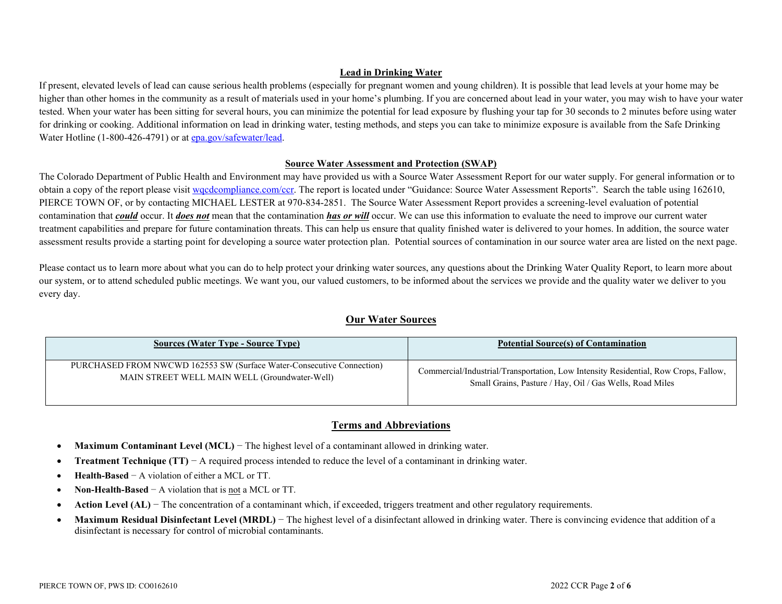## **Lead in Drinking Water**

If present, elevated levels of lead can cause serious health problems (especially for pregnant women and young children). It is possible that lead levels at your home may be higher than other homes in the community as a result of materials used in your home's plumbing. If you are concerned about lead in your water, you may wish to have your water tested. When your water has been sitting for several hours, you can minimize the potential for lead exposure by flushing your tap for 30 seconds to 2 minutes before using water for drinking or cooking. Additional information on lead in drinking water, testing methods, and steps you can take to minimize exposure is available from the Safe Drinking Water Hotline (1-800-426-4791) or a[t epa.gov/safewater/lead.](http://www.epa.gov/safewater/lead)

### **Source Water Assessment and Protection (SWAP)**

The Colorado Department of Public Health and Environment may have provided us with a Source Water Assessment Report for our water supply. For general information or to obtain a copy of the report please visit wordcompliance.com/ccr. The report is located under "Guidance: Source Water Assessment Reports". Search the table using 162610, PIERCE TOWN OF, or by contacting MICHAEL LESTER at 970-834-2851. The Source Water Assessment Report provides a screening-level evaluation of potential contamination that *could* occur. It *does not* mean that the contamination *has or will* occur. We can use this information to evaluate the need to improve our current water treatment capabilities and prepare for future contamination threats. This can help us ensure that quality finished water is delivered to your homes. In addition, the source water assessment results provide a starting point for developing a source water protection plan. Potential sources of contamination in our source water area are listed on the next page.

Please contact us to learn more about what you can do to help protect your drinking water sources, any questions about the Drinking Water Quality Report, to learn more about our system, or to attend scheduled public meetings. We want you, our valued customers, to be informed about the services we provide and the quality water we deliver to you every day.

## **Our Water Sources**

| <b>Sources (Water Type - Source Type)</b>                             | <b>Potential Source(s) of Contamination</b>                                         |
|-----------------------------------------------------------------------|-------------------------------------------------------------------------------------|
| PURCHASED FROM NWCWD 162553 SW (Surface Water-Consecutive Connection) | Commercial/Industrial/Transportation, Low Intensity Residential, Row Crops, Fallow, |
| MAIN STREET WELL MAIN WELL (Groundwater-Well)                         | Small Grains, Pasture / Hay, Oil / Gas Wells, Road Miles                            |

## **Terms and Abbreviations**

- **Maximum Contaminant Level (MCL)** − The highest level of a contaminant allowed in drinking water.
- **Treatment Technique (TT)** − A required process intended to reduce the level of a contaminant in drinking water.
- **Health-Based** − A violation of either a MCL or TT.
- **Non-Health-Based** − A violation that is not a MCL or TT.
- **Action Level (AL)** − The concentration of a contaminant which, if exceeded, triggers treatment and other regulatory requirements.
- Maximum Residual Disinfectant Level (MRDL) The highest level of a disinfectant allowed in drinking water. There is convincing evidence that addition of a disinfectant is necessary for control of microbial contaminants.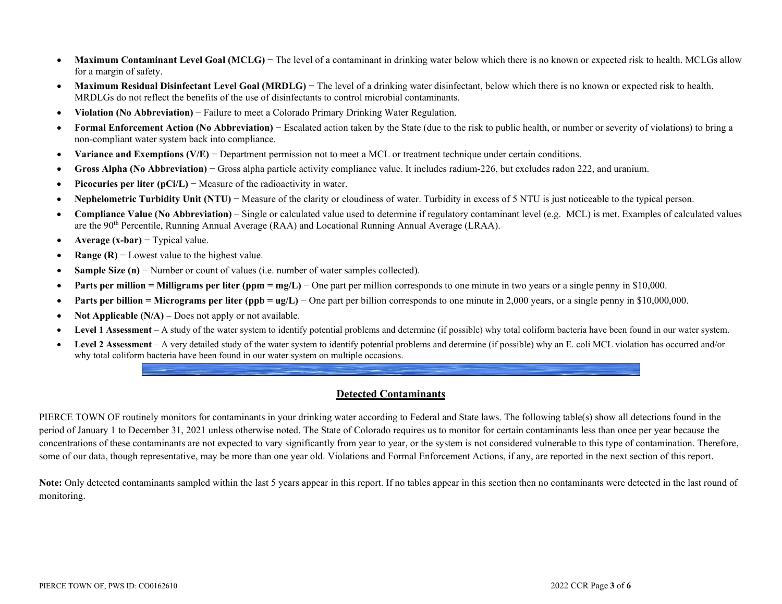- Maximum Contaminant Level Goal (MCLG) The level of a contaminant in drinking water below which there is no known or expected risk to health. MCLGs allow for a margin of safety.
- **Maximum Residual Disinfectant Level Goal (MRDLG)** − The level of a drinking water disinfectant, below which there is no known or expected risk to health. MRDLGs do not reflect the benefits of the use of disinfectants to control microbial contaminants.
- **Violation (No Abbreviation)** − Failure to meet a Colorado Primary Drinking Water Regulation.
- **Formal Enforcement Action (No Abbreviation)** − Escalated action taken by the State (due to the risk to public health, or number or severity of violations) to bring a non-compliant water system back into compliance.
- **Variance and Exemptions (V/E)** − Department permission not to meet a MCL or treatment technique under certain conditions.
- **Gross Alpha (No Abbreviation)** − Gross alpha particle activity compliance value. It includes radium-226, but excludes radon 222, and uranium.
- **Picocuries per liter (pCi/L)** − Measure of the radioactivity in water.
- **Nephelometric Turbidity Unit (NTU)** − Measure of the clarity or cloudiness of water. Turbidity in excess of 5 NTU is just noticeable to the typical person.
- **Compliance Value (No Abbreviation)** Single or calculated value used to determine if regulatory contaminant level (e.g. MCL) is met. Examples of calculated values are the 90th Percentile, Running Annual Average (RAA) and Locational Running Annual Average (LRAA).
- **Average (x-bar)** − Typical value.
- **Range (R)** − Lowest value to the highest value.
- **Sample Size (n)** − Number or count of values (i.e. number of water samples collected).
- **• Parts per million = Milligrams per liter (ppm = mg/L)** One part per million corresponds to one minute in two years or a single penny in \$10,000.
- **Parts per billion = Micrograms per liter (ppb = ug/L)** One part per billion corresponds to one minute in 2,000 years, or a single penny in \$10,000,000.
- **Not Applicable (N/A)** Does not apply or not available.
- **Level 1 Assessment** A study of the water system to identify potential problems and determine (if possible) why total coliform bacteria have been found in our water system.
- **Level 2 Assessment** A very detailed study of the water system to identify potential problems and determine (if possible) why an E. coli MCL violation has occurred and/or why total coliform bacteria have been found in our water system on multiple occasions.

### **Detected Contaminants**

PIERCE TOWN OF routinely monitors for contaminants in your drinking water according to Federal and State laws. The following table(s) show all detections found in the period of January 1 to December 31, 2021 unless otherwise noted. The State of Colorado requires us to monitor for certain contaminants less than once per year because the concentrations of these contaminants are not expected to vary significantly from year to year, or the system is not considered vulnerable to this type of contamination. Therefore, some of our data, though representative, may be more than one year old. Violations and Formal Enforcement Actions, if any, are reported in the next section of this report.

Note: Only detected contaminants sampled within the last 5 years appear in this report. If no tables appear in this section then no contaminants were detected in the last round of monitoring.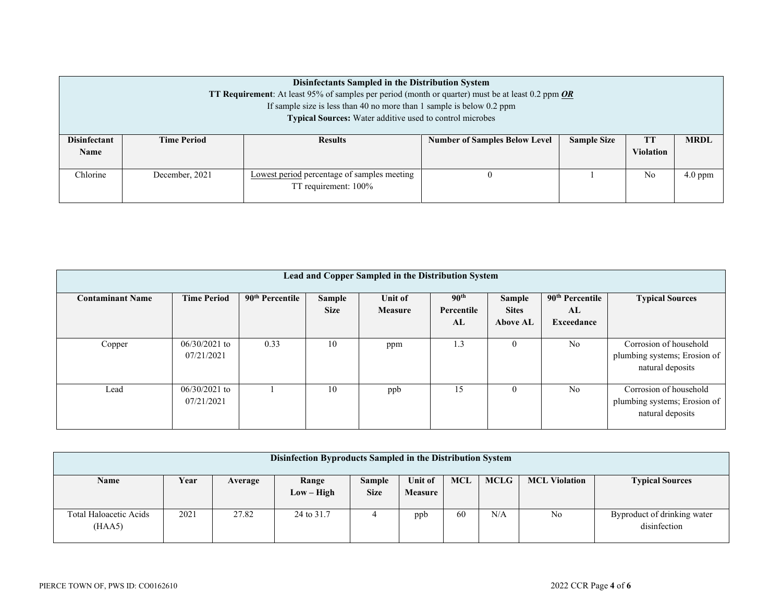| Disinfectants Sampled in the Distribution System<br><b>TT Requirement:</b> At least 95% of samples per period (month or quarter) must be at least 0.2 ppm <b>OR</b><br>If sample size is less than 40 no more than 1 sample is below $0.2$ ppm<br>Typical Sources: Water additive used to control microbes |                    |                                                                     |                                                                                             |                |           |  |  |  |  |  |
|------------------------------------------------------------------------------------------------------------------------------------------------------------------------------------------------------------------------------------------------------------------------------------------------------------|--------------------|---------------------------------------------------------------------|---------------------------------------------------------------------------------------------|----------------|-----------|--|--|--|--|--|
| <b>Disinfectant</b><br><b>Name</b>                                                                                                                                                                                                                                                                         | <b>Time Period</b> | <b>Results</b>                                                      | <b>TT</b><br><b>Number of Samples Below Level</b><br><b>Sample Size</b><br><b>Violation</b> |                |           |  |  |  |  |  |
| Chlorine                                                                                                                                                                                                                                                                                                   | December, 2021     | Lowest period percentage of samples meeting<br>TT requirement: 100% |                                                                                             | N <sub>0</sub> | $4.0$ ppm |  |  |  |  |  |

| Lead and Copper Sampled in the Distribution System |                               |                             |                       |                           |                                      |                                    |                                                 |                                                                            |
|----------------------------------------------------|-------------------------------|-----------------------------|-----------------------|---------------------------|--------------------------------------|------------------------------------|-------------------------------------------------|----------------------------------------------------------------------------|
| <b>Contaminant Name</b>                            | <b>Time Period</b>            | 90 <sup>th</sup> Percentile | Sample<br><b>Size</b> | Unit of<br><b>Measure</b> | 90 <sup>th</sup><br>Percentile<br>AL | Sample<br><b>Sites</b><br>Above AL | 90 <sup>th</sup> Percentile<br>AL<br>Exceedance | <b>Typical Sources</b>                                                     |
| Copper                                             | $06/30/2021$ to<br>07/21/2021 | 0.33                        | 10                    | ppm                       | 1.3                                  | $\theta$                           | No                                              | Corrosion of household<br>plumbing systems; Erosion of<br>natural deposits |
| Lead                                               | $06/30/2021$ to<br>07/21/2021 |                             | 10                    | ppb                       | 15                                   | $\theta$                           | N <sub>o</sub>                                  | Corrosion of household<br>plumbing systems; Erosion of<br>natural deposits |

| Disinfection Byproducts Sampled in the Distribution System |      |         |                       |                              |                           |            |             |                      |                                             |
|------------------------------------------------------------|------|---------|-----------------------|------------------------------|---------------------------|------------|-------------|----------------------|---------------------------------------------|
| <b>Name</b>                                                | Year | Average | Range<br>$Low - High$ | <b>Sample</b><br><b>Size</b> | Unit of<br><b>Measure</b> | <b>MCL</b> | <b>MCLG</b> | <b>MCL Violation</b> | <b>Typical Sources</b>                      |
| Total Haloacetic Acids<br>(HAA5)                           | 2021 | 27.82   | 24 to 31.7            |                              | ppb                       | 60         | N/A         | No                   | Byproduct of drinking water<br>disinfection |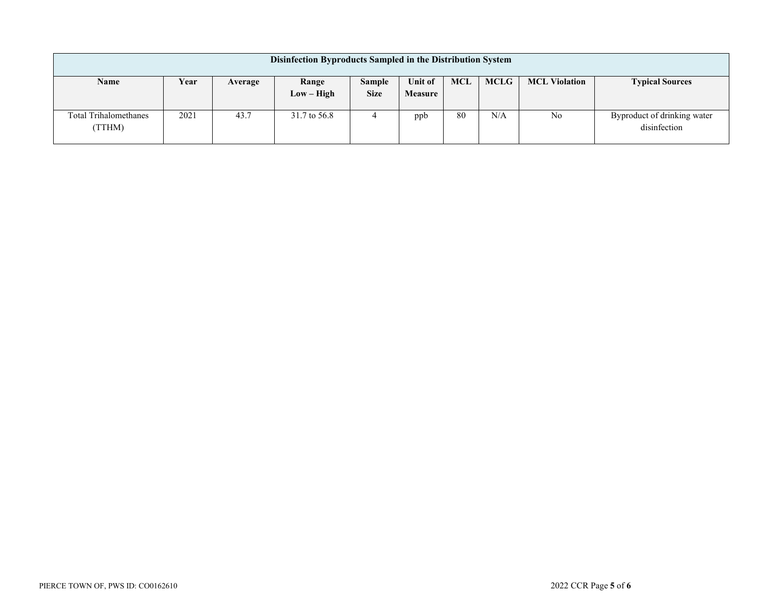| Disinfection Byproducts Sampled in the Distribution System |      |         |                       |                              |                           |     |             |                      |                                             |
|------------------------------------------------------------|------|---------|-----------------------|------------------------------|---------------------------|-----|-------------|----------------------|---------------------------------------------|
| Name                                                       | Year | Average | Range<br>$Low - High$ | <b>Sample</b><br><b>Size</b> | Unit of<br><b>Measure</b> | MCL | <b>MCLG</b> | <b>MCL Violation</b> | <b>Typical Sources</b>                      |
| <b>Total Trihalomethanes</b><br>(TTHM)                     | 2021 | 43.7    | 31.7 to 56.8          | 4                            | ppb                       | 80  | N/A         | No                   | Byproduct of drinking water<br>disinfection |